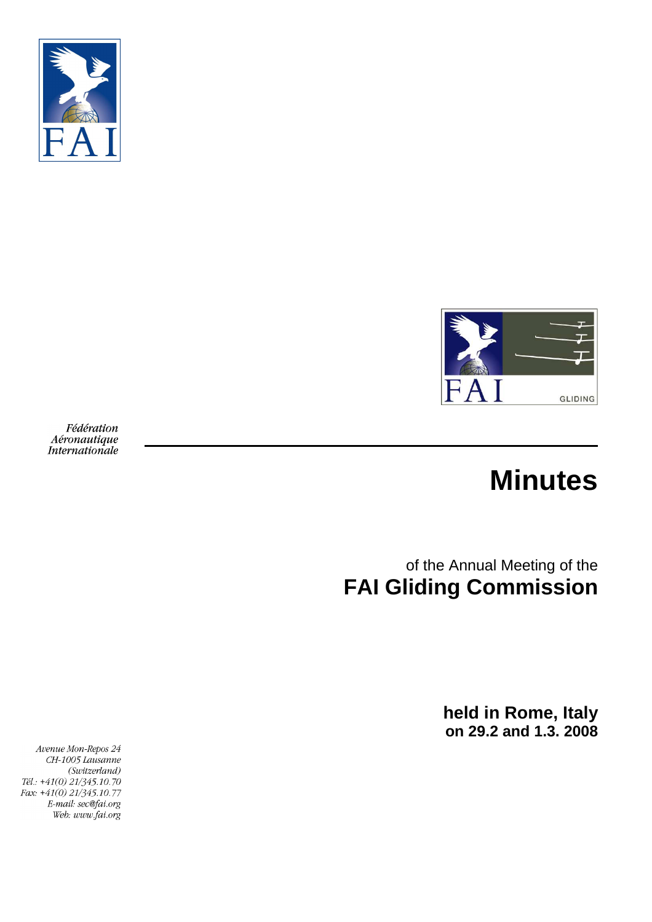



Fédération Aéronautique Internationale

# **Minutes**

of the Annual Meeting of the **FAI Gliding Commission** 

> **held in Rome, Italy on 29.2 and 1.3. 2008**

Avenue Mon-Repos 24 CH-1005 Lausanne (Switzerland) Tél.: +41(0) 21/345.10.70 Fax: +41(0) 21/345.10.77 E-mail: sec@fai.org Web: www.fai.org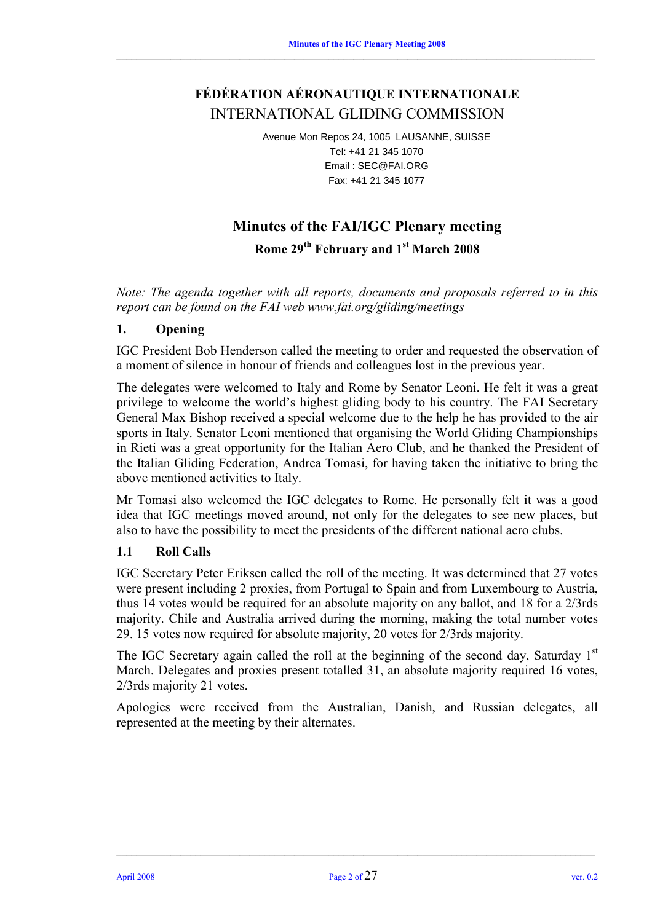# **FÉDÉRATION AÉRONAUTIQUE INTERNATIONALE**  INTERNATIONAL GLIDING COMMISSION

 $\_$  , and the state of the state of the state of the state of the state of the state of the state of the state of the state of the state of the state of the state of the state of the state of the state of the state of the

Avenue Mon Repos 24, 1005 LAUSANNE, SUISSE Tel: +41 21 345 1070 Email : SEC@FAI.ORG Fax: +41 21 345 1077

# **Minutes of the FAI/IGC Plenary meeting**

**Rome 29th February and 1st March 2008** 

*Note: The agenda together with all reports, documents and proposals referred to in this report can be found on the FAI web www.fai.org/gliding/meetings* 

# **1. Opening**

IGC President Bob Henderson called the meeting to order and requested the observation of a moment of silence in honour of friends and colleagues lost in the previous year.

The delegates were welcomed to Italy and Rome by Senator Leoni. He felt it was a great privilege to welcome the world's highest gliding body to his country. The FAI Secretary General Max Bishop received a special welcome due to the help he has provided to the air sports in Italy. Senator Leoni mentioned that organising the World Gliding Championships in Rieti was a great opportunity for the Italian Aero Club, and he thanked the President of the Italian Gliding Federation, Andrea Tomasi, for having taken the initiative to bring the above mentioned activities to Italy.

Mr Tomasi also welcomed the IGC delegates to Rome. He personally felt it was a good idea that IGC meetings moved around, not only for the delegates to see new places, but also to have the possibility to meet the presidents of the different national aero clubs.

#### **1.1 Roll Calls**

IGC Secretary Peter Eriksen called the roll of the meeting. It was determined that 27 votes were present including 2 proxies, from Portugal to Spain and from Luxembourg to Austria, thus 14 votes would be required for an absolute majority on any ballot, and 18 for a 2/3rds majority. Chile and Australia arrived during the morning, making the total number votes 29. 15 votes now required for absolute majority, 20 votes for 2/3rds majority.

The IGC Secretary again called the roll at the beginning of the second day, Saturday  $1<sup>st</sup>$ March. Delegates and proxies present totalled 31, an absolute majority required 16 votes, 2/3rds majority 21 votes.

Apologies were received from the Australian, Danish, and Russian delegates, all represented at the meeting by their alternates.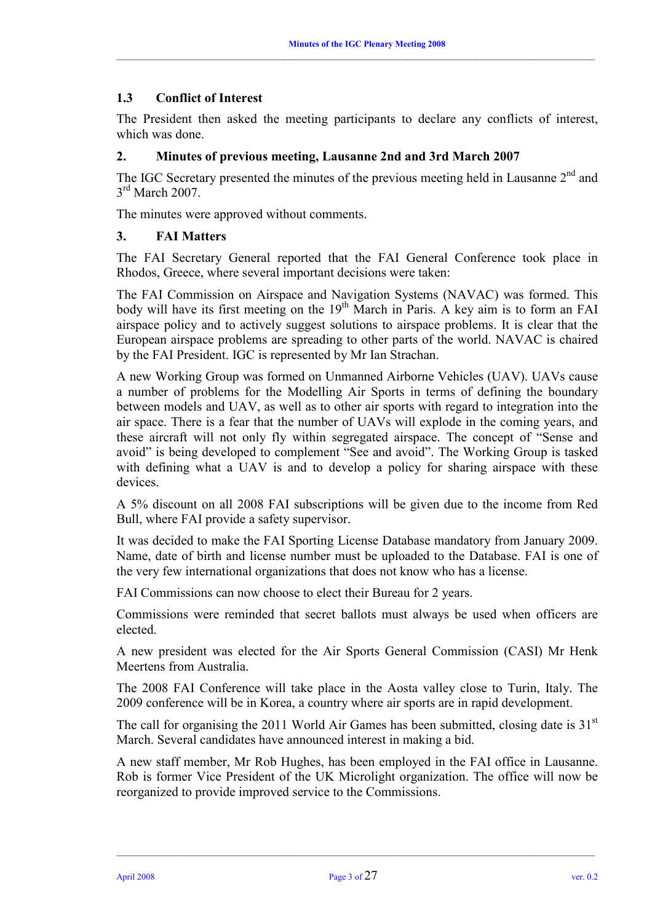# **1.3 Conflict of Interest**

The President then asked the meeting participants to declare any conflicts of interest, which was done.

#### **2. Minutes of previous meeting, Lausanne 2nd and 3rd March 2007**

The IGC Secretary presented the minutes of the previous meeting held in Lausanne 2<sup>nd</sup> and  $3<sup>rd</sup>$  March 2007.

The minutes were approved without comments.

#### **3. FAI Matters**

The FAI Secretary General reported that the FAI General Conference took place in Rhodos, Greece, where several important decisions were taken:

The FAI Commission on Airspace and Navigation Systems (NAVAC) was formed. This body will have its first meeting on the  $19<sup>th</sup>$  March in Paris. A key aim is to form an FAI airspace policy and to actively suggest solutions to airspace problems. It is clear that the European airspace problems are spreading to other parts of the world. NAVAC is chaired by the FAI President. IGC is represented by Mr Ian Strachan.

A new Working Group was formed on Unmanned Airborne Vehicles (UAV). UAVs cause a number of problems for the Modelling Air Sports in terms of defining the boundary between models and UAV, as well as to other air sports with regard to integration into the air space. There is a fear that the number of UAVs will explode in the coming years, and these aircraft will not only fly within segregated airspace. The concept of "Sense and avoid" is being developed to complement "See and avoid". The Working Group is tasked with defining what a UAV is and to develop a policy for sharing airspace with these devices.

A 5% discount on all 2008 FAI subscriptions will be given due to the income from Red Bull, where FAI provide a safety supervisor.

It was decided to make the FAI Sporting License Database mandatory from January 2009. Name, date of birth and license number must be uploaded to the Database. FAI is one of the very few international organizations that does not know who has a license.

FAI Commissions can now choose to elect their Bureau for 2 years.

Commissions were reminded that secret ballots must always be used when officers are elected.

A new president was elected for the Air Sports General Commission (CASI) Mr Henk Meertens from Australia.

The 2008 FAI Conference will take place in the Aosta valley close to Turin, Italy. The 2009 conference will be in Korea, a country where air sports are in rapid development.

The call for organising the 2011 World Air Games has been submitted, closing date is  $31<sup>st</sup>$ March. Several candidates have announced interest in making a bid.

A new staff member, Mr Rob Hughes, has been employed in the FAI office in Lausanne. Rob is former Vice President of the UK Microlight organization. The office will now be reorganized to provide improved service to the Commissions.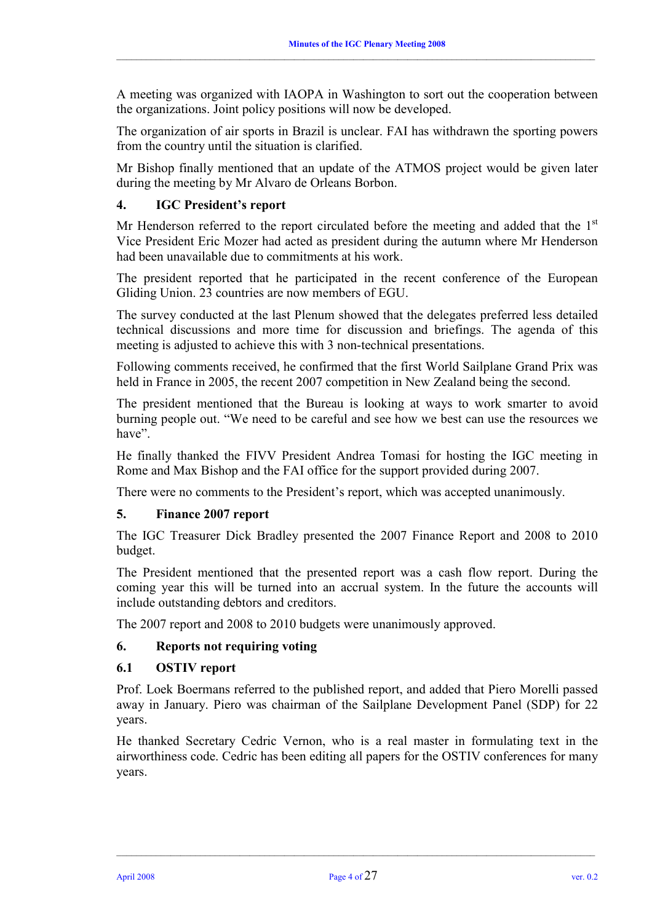A meeting was organized with IAOPA in Washington to sort out the cooperation between the organizations. Joint policy positions will now be developed.

 $\_$  , and the state of the state of the state of the state of the state of the state of the state of the state of the state of the state of the state of the state of the state of the state of the state of the state of the

The organization of air sports in Brazil is unclear. FAI has withdrawn the sporting powers from the country until the situation is clarified.

Mr Bishop finally mentioned that an update of the ATMOS project would be given later during the meeting by Mr Alvaro de Orleans Borbon.

# **4. IGC President's report**

Mr Henderson referred to the report circulated before the meeting and added that the  $1<sup>st</sup>$ Vice President Eric Mozer had acted as president during the autumn where Mr Henderson had been unavailable due to commitments at his work.

The president reported that he participated in the recent conference of the European Gliding Union. 23 countries are now members of EGU.

The survey conducted at the last Plenum showed that the delegates preferred less detailed technical discussions and more time for discussion and briefings. The agenda of this meeting is adjusted to achieve this with 3 non-technical presentations.

Following comments received, he confirmed that the first World Sailplane Grand Prix was held in France in 2005, the recent 2007 competition in New Zealand being the second.

The president mentioned that the Bureau is looking at ways to work smarter to avoid burning people out. "We need to be careful and see how we best can use the resources we have".

He finally thanked the FIVV President Andrea Tomasi for hosting the IGC meeting in Rome and Max Bishop and the FAI office for the support provided during 2007.

There were no comments to the President's report, which was accepted unanimously.

#### **5. Finance 2007 report**

The IGC Treasurer Dick Bradley presented the 2007 Finance Report and 2008 to 2010 budget.

The President mentioned that the presented report was a cash flow report. During the coming year this will be turned into an accrual system. In the future the accounts will include outstanding debtors and creditors.

The 2007 report and 2008 to 2010 budgets were unanimously approved.

#### **6. Reports not requiring voting**

#### **6.1 OSTIV report**

Prof. Loek Boermans referred to the published report, and added that Piero Morelli passed away in January. Piero was chairman of the Sailplane Development Panel (SDP) for 22 years.

He thanked Secretary Cedric Vernon, who is a real master in formulating text in the airworthiness code. Cedric has been editing all papers for the OSTIV conferences for many years.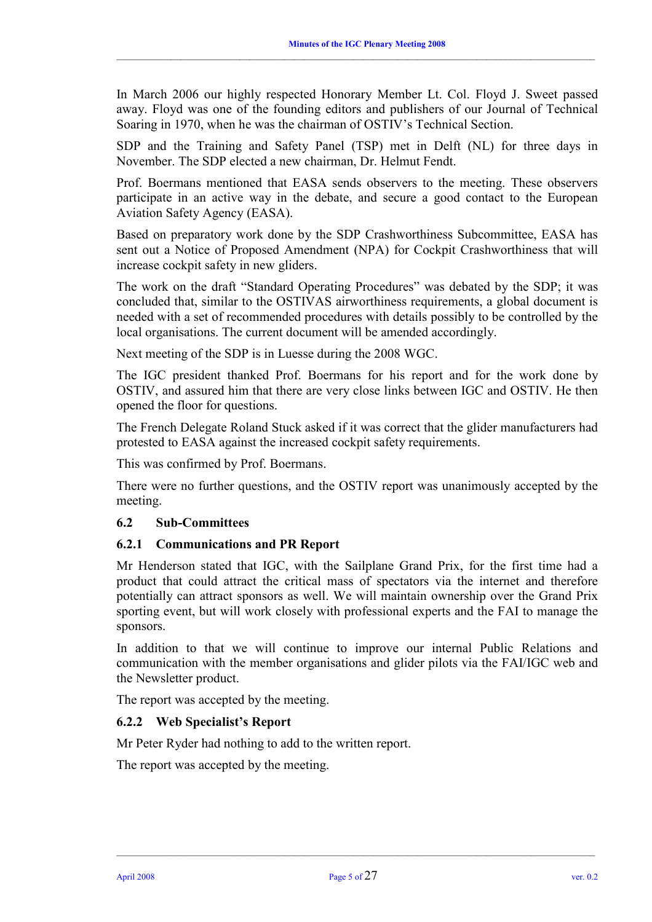In March 2006 our highly respected Honorary Member Lt. Col. Floyd J. Sweet passed away. Floyd was one of the founding editors and publishers of our Journal of Technical Soaring in 1970, when he was the chairman of OSTIV's Technical Section.

 $\_$  , and the state of the state of the state of the state of the state of the state of the state of the state of the state of the state of the state of the state of the state of the state of the state of the state of the

SDP and the Training and Safety Panel (TSP) met in Delft (NL) for three days in November. The SDP elected a new chairman, Dr. Helmut Fendt.

Prof. Boermans mentioned that EASA sends observers to the meeting. These observers participate in an active way in the debate, and secure a good contact to the European Aviation Safety Agency (EASA).

Based on preparatory work done by the SDP Crashworthiness Subcommittee, EASA has sent out a Notice of Proposed Amendment (NPA) for Cockpit Crashworthiness that will increase cockpit safety in new gliders.

The work on the draft "Standard Operating Procedures" was debated by the SDP; it was concluded that, similar to the OSTIVAS airworthiness requirements, a global document is needed with a set of recommended procedures with details possibly to be controlled by the local organisations. The current document will be amended accordingly.

Next meeting of the SDP is in Luesse during the 2008 WGC.

The IGC president thanked Prof. Boermans for his report and for the work done by OSTIV, and assured him that there are very close links between IGC and OSTIV. He then opened the floor for questions.

The French Delegate Roland Stuck asked if it was correct that the glider manufacturers had protested to EASA against the increased cockpit safety requirements.

This was confirmed by Prof. Boermans.

There were no further questions, and the OSTIV report was unanimously accepted by the meeting.

#### **6.2 Sub-Committees**

#### **6.2.1 Communications and PR Report**

Mr Henderson stated that IGC, with the Sailplane Grand Prix, for the first time had a product that could attract the critical mass of spectators via the internet and therefore potentially can attract sponsors as well. We will maintain ownership over the Grand Prix sporting event, but will work closely with professional experts and the FAI to manage the sponsors.

In addition to that we will continue to improve our internal Public Relations and communication with the member organisations and glider pilots via the FAI/IGC web and the Newsletter product.

The report was accepted by the meeting.

#### **6.2.2 Web Specialist's Report**

Mr Peter Ryder had nothing to add to the written report.

The report was accepted by the meeting.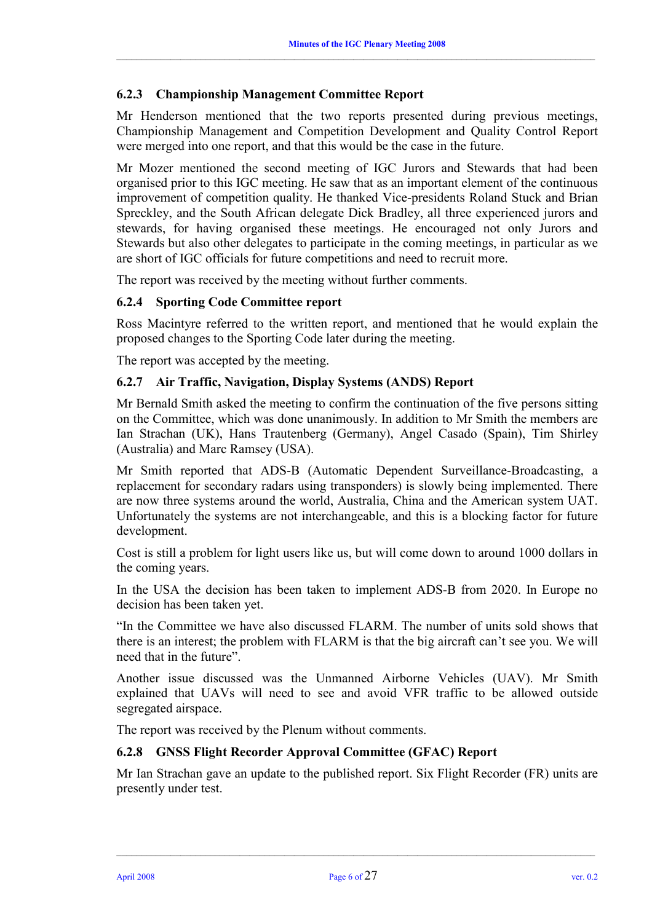# **6.2.3 Championship Management Committee Report**

Mr Henderson mentioned that the two reports presented during previous meetings, Championship Management and Competition Development and Quality Control Report were merged into one report, and that this would be the case in the future.

Mr Mozer mentioned the second meeting of IGC Jurors and Stewards that had been organised prior to this IGC meeting. He saw that as an important element of the continuous improvement of competition quality. He thanked Vice-presidents Roland Stuck and Brian Spreckley, and the South African delegate Dick Bradley, all three experienced jurors and stewards, for having organised these meetings. He encouraged not only Jurors and Stewards but also other delegates to participate in the coming meetings, in particular as we are short of IGC officials for future competitions and need to recruit more.

The report was received by the meeting without further comments.

#### **6.2.4 Sporting Code Committee report**

Ross Macintyre referred to the written report, and mentioned that he would explain the proposed changes to the Sporting Code later during the meeting.

The report was accepted by the meeting.

#### **6.2.7 Air Traffic, Navigation, Display Systems (ANDS) Report**

Mr Bernald Smith asked the meeting to confirm the continuation of the five persons sitting on the Committee, which was done unanimously. In addition to Mr Smith the members are Ian Strachan (UK), Hans Trautenberg (Germany), Angel Casado (Spain), Tim Shirley (Australia) and Marc Ramsey (USA).

Mr Smith reported that ADS-B (Automatic Dependent Surveillance-Broadcasting, a replacement for secondary radars using transponders) is slowly being implemented. There are now three systems around the world, Australia, China and the American system UAT. Unfortunately the systems are not interchangeable, and this is a blocking factor for future development.

Cost is still a problem for light users like us, but will come down to around 1000 dollars in the coming years.

In the USA the decision has been taken to implement ADS-B from 2020. In Europe no decision has been taken yet.

"In the Committee we have also discussed FLARM. The number of units sold shows that there is an interest; the problem with FLARM is that the big aircraft can't see you. We will need that in the future".

Another issue discussed was the Unmanned Airborne Vehicles (UAV). Mr Smith explained that UAVs will need to see and avoid VFR traffic to be allowed outside segregated airspace.

The report was received by the Plenum without comments.

#### **6.2.8 GNSS Flight Recorder Approval Committee (GFAC) Report**

Mr Ian Strachan gave an update to the published report. Six Flight Recorder (FR) units are presently under test.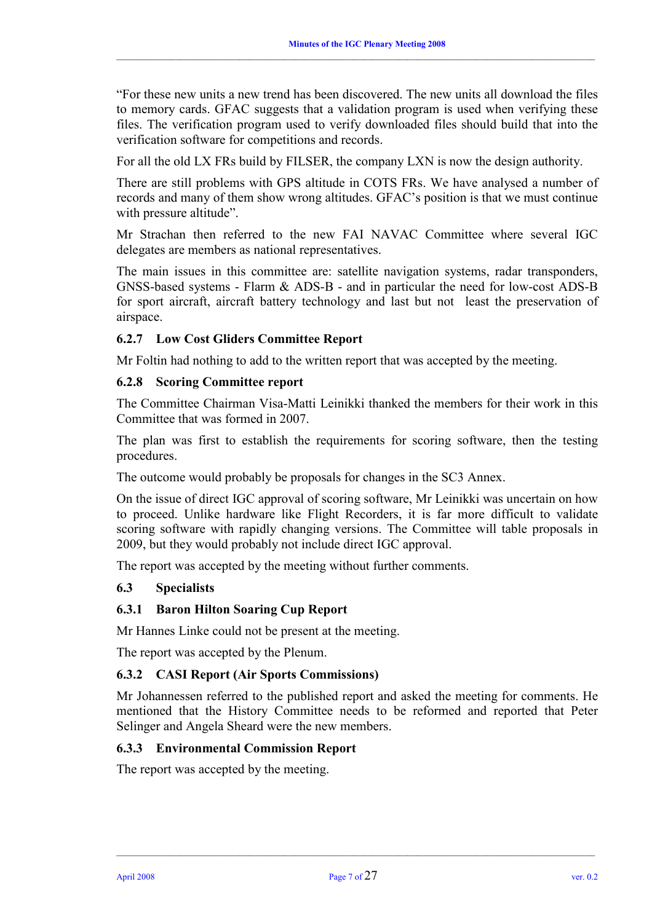"For these new units a new trend has been discovered. The new units all download the files to memory cards. GFAC suggests that a validation program is used when verifying these files. The verification program used to verify downloaded files should build that into the verification software for competitions and records.

For all the old LX FRs build by FILSER, the company LXN is now the design authority.

There are still problems with GPS altitude in COTS FRs. We have analysed a number of records and many of them show wrong altitudes. GFAC's position is that we must continue with pressure altitude".

Mr Strachan then referred to the new FAI NAVAC Committee where several IGC delegates are members as national representatives.

The main issues in this committee are: satellite navigation systems, radar transponders, GNSS-based systems - Flarm & ADS-B - and in particular the need for low-cost ADS-B for sport aircraft, aircraft battery technology and last but not least the preservation of airspace.

# **6.2.7 Low Cost Gliders Committee Report**

Mr Foltin had nothing to add to the written report that was accepted by the meeting.

#### **6.2.8 Scoring Committee report**

The Committee Chairman Visa-Matti Leinikki thanked the members for their work in this Committee that was formed in 2007.

The plan was first to establish the requirements for scoring software, then the testing procedures.

The outcome would probably be proposals for changes in the SC3 Annex.

On the issue of direct IGC approval of scoring software, Mr Leinikki was uncertain on how to proceed. Unlike hardware like Flight Recorders, it is far more difficult to validate scoring software with rapidly changing versions. The Committee will table proposals in 2009, but they would probably not include direct IGC approval.

The report was accepted by the meeting without further comments.

#### **6.3 Specialists**

#### **6.3.1 Baron Hilton Soaring Cup Report**

Mr Hannes Linke could not be present at the meeting.

The report was accepted by the Plenum.

#### **6.3.2 CASI Report (Air Sports Commissions)**

Mr Johannessen referred to the published report and asked the meeting for comments. He mentioned that the History Committee needs to be reformed and reported that Peter Selinger and Angela Sheard were the new members.

#### **6.3.3 Environmental Commission Report**

The report was accepted by the meeting.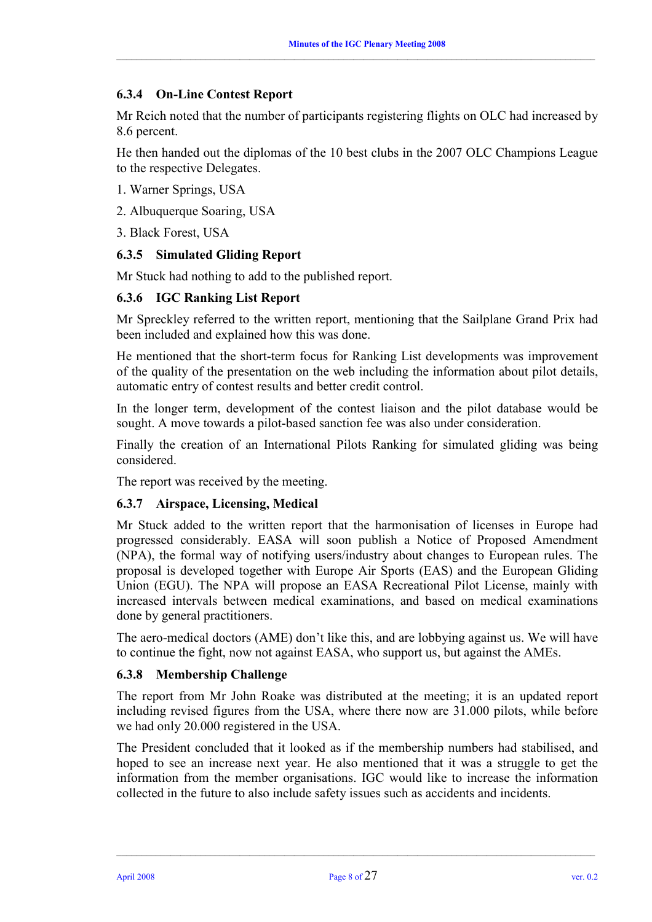# **6.3.4 On-Line Contest Report**

Mr Reich noted that the number of participants registering flights on OLC had increased by 8.6 percent.

He then handed out the diplomas of the 10 best clubs in the 2007 OLC Champions League to the respective Delegates.

- 1. Warner Springs, USA
- 2. Albuquerque Soaring, USA

3. Black Forest, USA

# **6.3.5 Simulated Gliding Report**

Mr Stuck had nothing to add to the published report.

# **6.3.6 IGC Ranking List Report**

Mr Spreckley referred to the written report, mentioning that the Sailplane Grand Prix had been included and explained how this was done.

He mentioned that the short-term focus for Ranking List developments was improvement of the quality of the presentation on the web including the information about pilot details, automatic entry of contest results and better credit control.

In the longer term, development of the contest liaison and the pilot database would be sought. A move towards a pilot-based sanction fee was also under consideration.

Finally the creation of an International Pilots Ranking for simulated gliding was being considered.

The report was received by the meeting.

#### **6.3.7 Airspace, Licensing, Medical**

Mr Stuck added to the written report that the harmonisation of licenses in Europe had progressed considerably. EASA will soon publish a Notice of Proposed Amendment (NPA), the formal way of notifying users/industry about changes to European rules. The proposal is developed together with Europe Air Sports (EAS) and the European Gliding Union (EGU). The NPA will propose an EASA Recreational Pilot License, mainly with increased intervals between medical examinations, and based on medical examinations done by general practitioners.

The aero-medical doctors (AME) don't like this, and are lobbying against us. We will have to continue the fight, now not against EASA, who support us, but against the AMEs.

#### **6.3.8 Membership Challenge**

The report from Mr John Roake was distributed at the meeting; it is an updated report including revised figures from the USA, where there now are 31.000 pilots, while before we had only 20.000 registered in the USA.

The President concluded that it looked as if the membership numbers had stabilised, and hoped to see an increase next year. He also mentioned that it was a struggle to get the information from the member organisations. IGC would like to increase the information collected in the future to also include safety issues such as accidents and incidents.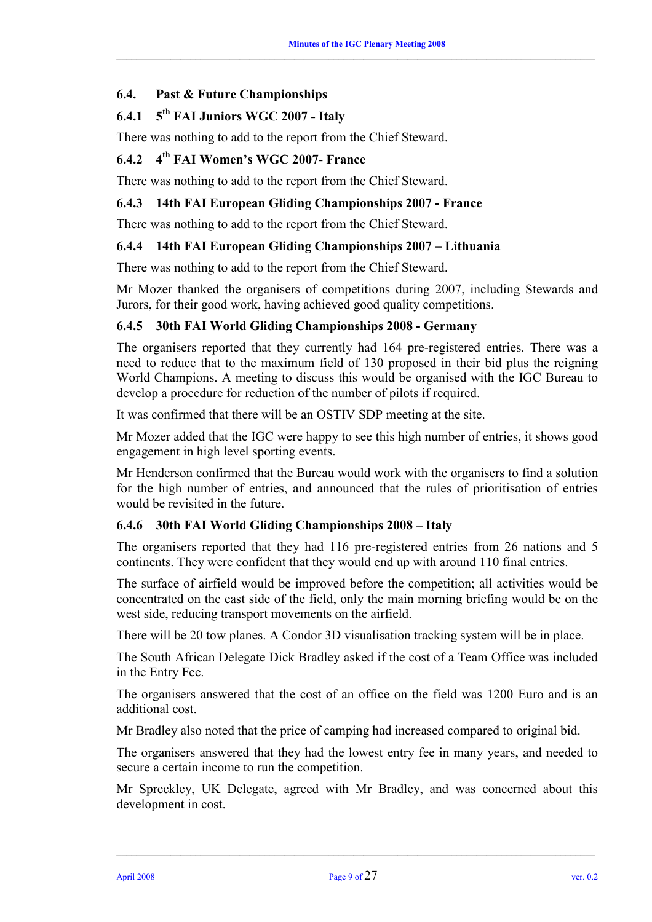# **6.4. Past & Future Championships**

# **6.4.1 5th FAI Juniors WGC 2007 - Italy**

There was nothing to add to the report from the Chief Steward.

# **6.4.2 4th FAI Women's WGC 2007- France**

There was nothing to add to the report from the Chief Steward.

# **6.4.3 14th FAI European Gliding Championships 2007 - France**

There was nothing to add to the report from the Chief Steward.

# **6.4.4 14th FAI European Gliding Championships 2007 – Lithuania**

There was nothing to add to the report from the Chief Steward.

Mr Mozer thanked the organisers of competitions during 2007, including Stewards and Jurors, for their good work, having achieved good quality competitions.

# **6.4.5 30th FAI World Gliding Championships 2008 - Germany**

The organisers reported that they currently had 164 pre-registered entries. There was a need to reduce that to the maximum field of 130 proposed in their bid plus the reigning World Champions. A meeting to discuss this would be organised with the IGC Bureau to develop a procedure for reduction of the number of pilots if required.

It was confirmed that there will be an OSTIV SDP meeting at the site.

Mr Mozer added that the IGC were happy to see this high number of entries, it shows good engagement in high level sporting events.

Mr Henderson confirmed that the Bureau would work with the organisers to find a solution for the high number of entries, and announced that the rules of prioritisation of entries would be revisited in the future.

#### **6.4.6 30th FAI World Gliding Championships 2008 – Italy**

The organisers reported that they had 116 pre-registered entries from 26 nations and 5 continents. They were confident that they would end up with around 110 final entries.

The surface of airfield would be improved before the competition; all activities would be concentrated on the east side of the field, only the main morning briefing would be on the west side, reducing transport movements on the airfield.

There will be 20 tow planes. A Condor 3D visualisation tracking system will be in place.

The South African Delegate Dick Bradley asked if the cost of a Team Office was included in the Entry Fee.

The organisers answered that the cost of an office on the field was 1200 Euro and is an additional cost.

Mr Bradley also noted that the price of camping had increased compared to original bid.

The organisers answered that they had the lowest entry fee in many years, and needed to secure a certain income to run the competition.

Mr Spreckley, UK Delegate, agreed with Mr Bradley, and was concerned about this development in cost.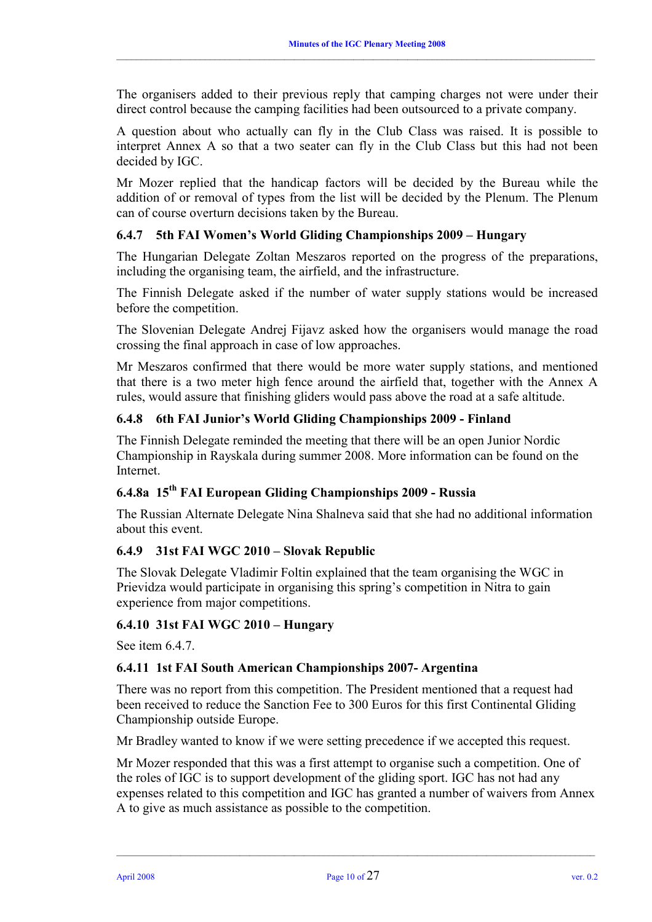The organisers added to their previous reply that camping charges not were under their direct control because the camping facilities had been outsourced to a private company.

 $\_$  , and the state of the state of the state of the state of the state of the state of the state of the state of the state of the state of the state of the state of the state of the state of the state of the state of the

A question about who actually can fly in the Club Class was raised. It is possible to interpret Annex A so that a two seater can fly in the Club Class but this had not been decided by IGC.

Mr Mozer replied that the handicap factors will be decided by the Bureau while the addition of or removal of types from the list will be decided by the Plenum. The Plenum can of course overturn decisions taken by the Bureau.

# **6.4.7 5th FAI Women's World Gliding Championships 2009 – Hungary**

The Hungarian Delegate Zoltan Meszaros reported on the progress of the preparations, including the organising team, the airfield, and the infrastructure.

The Finnish Delegate asked if the number of water supply stations would be increased before the competition.

The Slovenian Delegate Andrej Fijavz asked how the organisers would manage the road crossing the final approach in case of low approaches.

Mr Meszaros confirmed that there would be more water supply stations, and mentioned that there is a two meter high fence around the airfield that, together with the Annex A rules, would assure that finishing gliders would pass above the road at a safe altitude.

# **6.4.8 6th FAI Junior's World Gliding Championships 2009 - Finland**

The Finnish Delegate reminded the meeting that there will be an open Junior Nordic Championship in Rayskala during summer 2008. More information can be found on the Internet.

#### **6.4.8a 15th FAI European Gliding Championships 2009 - Russia**

The Russian Alternate Delegate Nina Shalneva said that she had no additional information about this event.

#### **6.4.9 31st FAI WGC 2010 – Slovak Republic**

The Slovak Delegate Vladimir Foltin explained that the team organising the WGC in Prievidza would participate in organising this spring's competition in Nitra to gain experience from major competitions.

#### **6.4.10 31st FAI WGC 2010 – Hungary**

See item 6.4.7

#### **6.4.11 1st FAI South American Championships 2007- Argentina**

There was no report from this competition. The President mentioned that a request had been received to reduce the Sanction Fee to 300 Euros for this first Continental Gliding Championship outside Europe.

Mr Bradley wanted to know if we were setting precedence if we accepted this request.

Mr Mozer responded that this was a first attempt to organise such a competition. One of the roles of IGC is to support development of the gliding sport. IGC has not had any expenses related to this competition and IGC has granted a number of waivers from Annex A to give as much assistance as possible to the competition.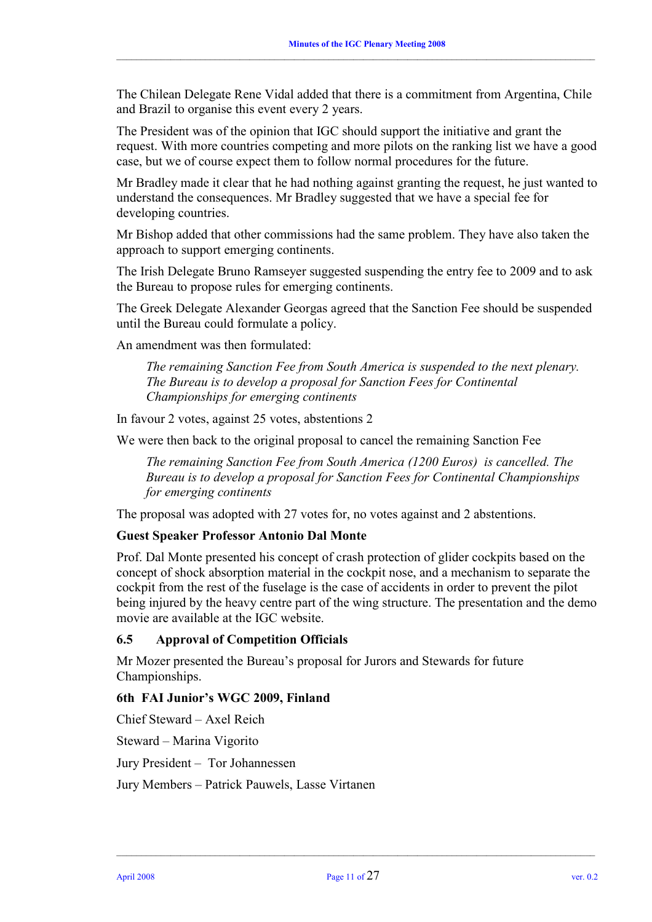The Chilean Delegate Rene Vidal added that there is a commitment from Argentina, Chile and Brazil to organise this event every 2 years.

 $\_$  , and the state of the state of the state of the state of the state of the state of the state of the state of the state of the state of the state of the state of the state of the state of the state of the state of the

The President was of the opinion that IGC should support the initiative and grant the request. With more countries competing and more pilots on the ranking list we have a good case, but we of course expect them to follow normal procedures for the future.

Mr Bradley made it clear that he had nothing against granting the request, he just wanted to understand the consequences. Mr Bradley suggested that we have a special fee for developing countries.

Mr Bishop added that other commissions had the same problem. They have also taken the approach to support emerging continents.

The Irish Delegate Bruno Ramseyer suggested suspending the entry fee to 2009 and to ask the Bureau to propose rules for emerging continents.

The Greek Delegate Alexander Georgas agreed that the Sanction Fee should be suspended until the Bureau could formulate a policy.

An amendment was then formulated:

*The remaining Sanction Fee from South America is suspended to the next plenary. The Bureau is to develop a proposal for Sanction Fees for Continental Championships for emerging continents* 

In favour 2 votes, against 25 votes, abstentions 2

We were then back to the original proposal to cancel the remaining Sanction Fee

*The remaining Sanction Fee from South America (1200 Euros) is cancelled. The Bureau is to develop a proposal for Sanction Fees for Continental Championships for emerging continents* 

The proposal was adopted with 27 votes for, no votes against and 2 abstentions.

#### **Guest Speaker Professor Antonio Dal Monte**

Prof. Dal Monte presented his concept of crash protection of glider cockpits based on the concept of shock absorption material in the cockpit nose, and a mechanism to separate the cockpit from the rest of the fuselage is the case of accidents in order to prevent the pilot being injured by the heavy centre part of the wing structure. The presentation and the demo movie are available at the IGC website.

#### **6.5 Approval of Competition Officials**

Mr Mozer presented the Bureau's proposal for Jurors and Stewards for future Championships.

#### **6th FAI Junior's WGC 2009, Finland**

Chief Steward – Axel Reich

Steward – Marina Vigorito

Jury President – Tor Johannessen

Jury Members – Patrick Pauwels, Lasse Virtanen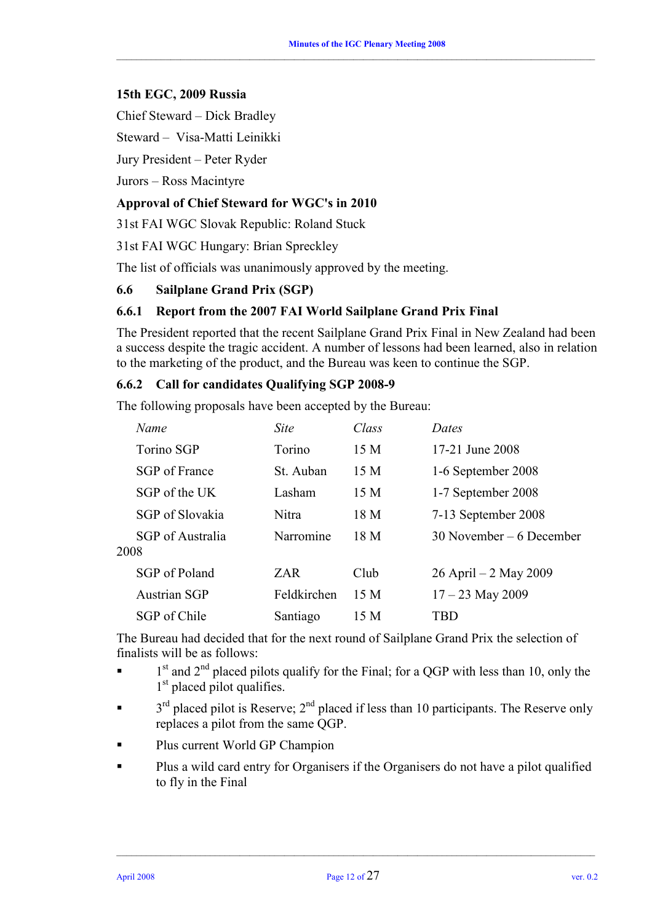#### **15th EGC, 2009 Russia**

Chief Steward – Dick Bradley

Steward – Visa-Matti Leinikki

Jury President – Peter Ryder

Jurors – Ross Macintyre

### **Approval of Chief Steward for WGC's in 2010**

31st FAI WGC Slovak Republic: Roland Stuck

31st FAI WGC Hungary: Brian Spreckley

The list of officials was unanimously approved by the meeting.

#### **6.6 Sailplane Grand Prix (SGP)**

# **6.6.1 Report from the 2007 FAI World Sailplane Grand Prix Final**

The President reported that the recent Sailplane Grand Prix Final in New Zealand had been a success despite the tragic accident. A number of lessons had been learned, also in relation to the marketing of the product, and the Bureau was keen to continue the SGP.

#### **6.6.2 Call for candidates Qualifying SGP 2008-9**

The following proposals have been accepted by the Bureau:

|      | Name              | <b>Site</b> | Class | Dates                      |
|------|-------------------|-------------|-------|----------------------------|
|      | <b>Torino SGP</b> | Torino      | 15 M  | 17-21 June 2008            |
|      | SGP of France     | St. Auban   | 15 M  | 1-6 September 2008         |
|      | SGP of the UK     | Lasham      | 15 M  | 1-7 September 2008         |
|      | SGP of Slovakia   | Nitra       | 18 M  | 7-13 September 2008        |
| 2008 | SGP of Australia  | Narromine   | 18 M  | $30$ November – 6 December |
|      | SGP of Poland     | ZAR.        | Club  | $26$ April $-2$ May 2009   |
|      | Austrian SGP      | Feldkirchen | 15 M  | $17 - 23$ May 2009         |
|      | SGP of Chile      | Santiago    | 15 M  | TBD                        |

The Bureau had decided that for the next round of Sailplane Grand Prix the selection of finalists will be as follows:

- $\blacksquare$  1<sup>st</sup> and 2<sup>nd</sup> placed pilots qualify for the Final; for a QGP with less than 10, only the 1<sup>st</sup> placed pilot qualifies.
- $\blacksquare$  3<sup>rd</sup> placed pilot is Reserve; 2<sup>nd</sup> placed if less than 10 participants. The Reserve only replaces a pilot from the same QGP.
- Plus current World GP Champion
- Plus a wild card entry for Organisers if the Organisers do not have a pilot qualified to fly in the Final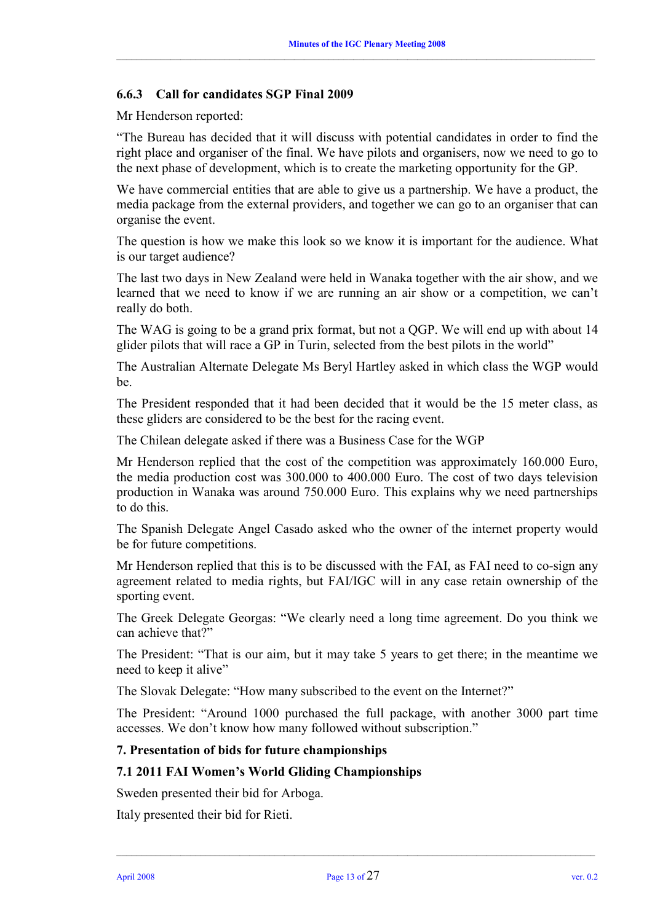#### **6.6.3 Call for candidates SGP Final 2009**

Mr Henderson reported:

"The Bureau has decided that it will discuss with potential candidates in order to find the right place and organiser of the final. We have pilots and organisers, now we need to go to the next phase of development, which is to create the marketing opportunity for the GP.

We have commercial entities that are able to give us a partnership. We have a product, the media package from the external providers, and together we can go to an organiser that can organise the event.

The question is how we make this look so we know it is important for the audience. What is our target audience?

The last two days in New Zealand were held in Wanaka together with the air show, and we learned that we need to know if we are running an air show or a competition, we can't really do both.

The WAG is going to be a grand prix format, but not a QGP. We will end up with about 14 glider pilots that will race a GP in Turin, selected from the best pilots in the world"

The Australian Alternate Delegate Ms Beryl Hartley asked in which class the WGP would be.

The President responded that it had been decided that it would be the 15 meter class, as these gliders are considered to be the best for the racing event.

The Chilean delegate asked if there was a Business Case for the WGP

Mr Henderson replied that the cost of the competition was approximately 160.000 Euro, the media production cost was 300.000 to 400.000 Euro. The cost of two days television production in Wanaka was around 750.000 Euro. This explains why we need partnerships to do this.

The Spanish Delegate Angel Casado asked who the owner of the internet property would be for future competitions.

Mr Henderson replied that this is to be discussed with the FAI, as FAI need to co-sign any agreement related to media rights, but FAI/IGC will in any case retain ownership of the sporting event.

The Greek Delegate Georgas: "We clearly need a long time agreement. Do you think we can achieve that?"

The President: "That is our aim, but it may take 5 years to get there; in the meantime we need to keep it alive"

The Slovak Delegate: "How many subscribed to the event on the Internet?"

The President: "Around 1000 purchased the full package, with another 3000 part time accesses. We don't know how many followed without subscription."

#### **7. Presentation of bids for future championships**

#### **7.1 2011 FAI Women's World Gliding Championships**

Sweden presented their bid for Arboga.

Italy presented their bid for Rieti.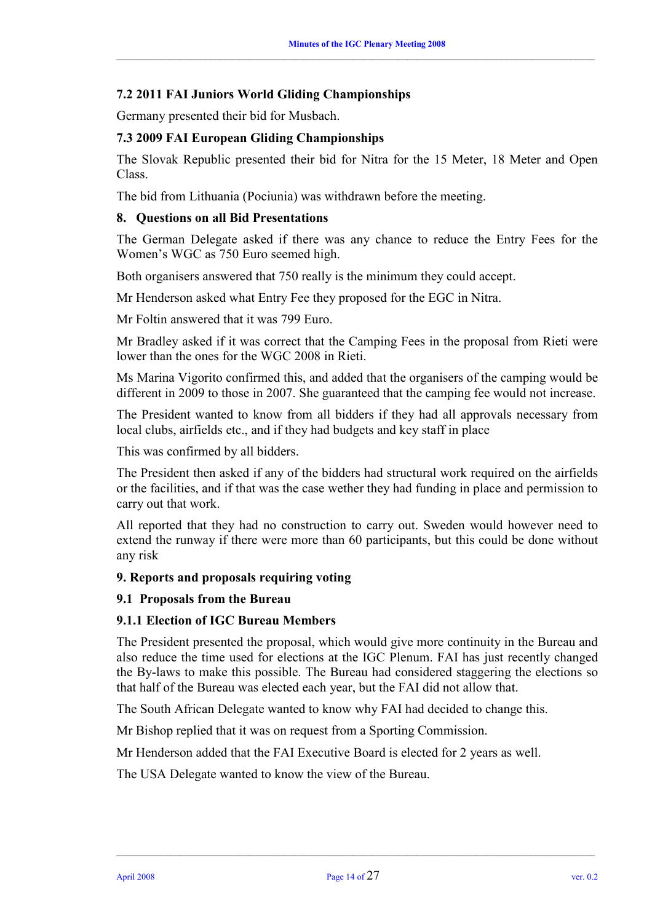# **7.2 2011 FAI Juniors World Gliding Championships**

Germany presented their bid for Musbach.

### **7.3 2009 FAI European Gliding Championships**

The Slovak Republic presented their bid for Nitra for the 15 Meter, 18 Meter and Open Class.

The bid from Lithuania (Pociunia) was withdrawn before the meeting.

#### **8. Questions on all Bid Presentations**

The German Delegate asked if there was any chance to reduce the Entry Fees for the Women's WGC as 750 Euro seemed high.

Both organisers answered that 750 really is the minimum they could accept.

Mr Henderson asked what Entry Fee they proposed for the EGC in Nitra.

Mr Foltin answered that it was 799 Euro.

Mr Bradley asked if it was correct that the Camping Fees in the proposal from Rieti were lower than the ones for the WGC 2008 in Rieti.

Ms Marina Vigorito confirmed this, and added that the organisers of the camping would be different in 2009 to those in 2007. She guaranteed that the camping fee would not increase.

The President wanted to know from all bidders if they had all approvals necessary from local clubs, airfields etc., and if they had budgets and key staff in place

This was confirmed by all bidders.

The President then asked if any of the bidders had structural work required on the airfields or the facilities, and if that was the case wether they had funding in place and permission to carry out that work.

All reported that they had no construction to carry out. Sweden would however need to extend the runway if there were more than 60 participants, but this could be done without any risk

#### **9. Reports and proposals requiring voting**

#### **9.1 Proposals from the Bureau**

#### **9.1.1 Election of IGC Bureau Members**

The President presented the proposal, which would give more continuity in the Bureau and also reduce the time used for elections at the IGC Plenum. FAI has just recently changed the By-laws to make this possible. The Bureau had considered staggering the elections so that half of the Bureau was elected each year, but the FAI did not allow that.

The South African Delegate wanted to know why FAI had decided to change this.

Mr Bishop replied that it was on request from a Sporting Commission.

Mr Henderson added that the FAI Executive Board is elected for 2 years as well.

The USA Delegate wanted to know the view of the Bureau.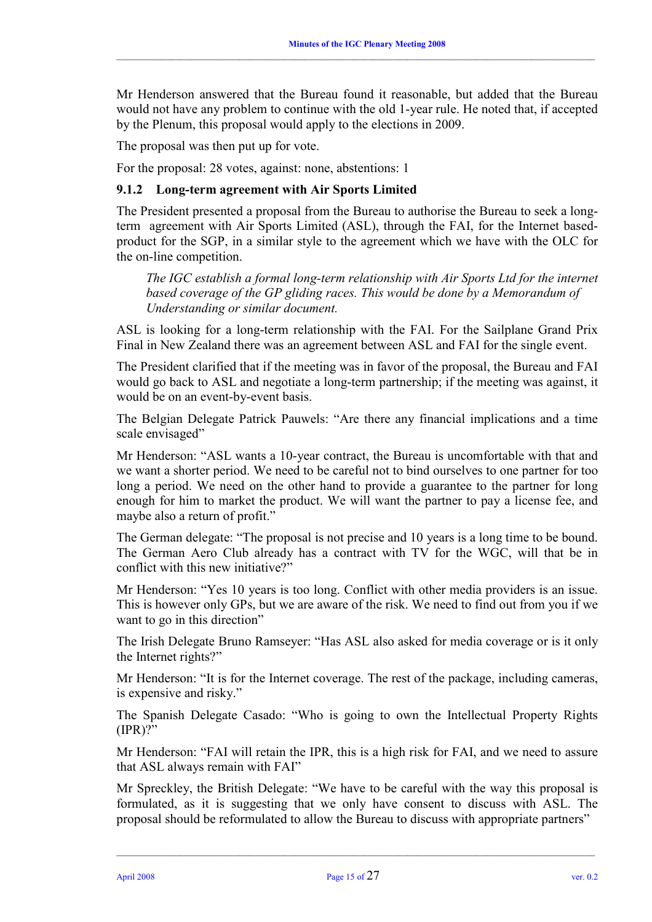Mr Henderson answered that the Bureau found it reasonable, but added that the Bureau would not have any problem to continue with the old 1-year rule. He noted that, if accepted by the Plenum, this proposal would apply to the elections in 2009.

 $\_$  , and the state of the state of the state of the state of the state of the state of the state of the state of the state of the state of the state of the state of the state of the state of the state of the state of the

The proposal was then put up for vote.

For the proposal: 28 votes, against: none, abstentions: 1

#### **9.1.2 Long-term agreement with Air Sports Limited**

The President presented a proposal from the Bureau to authorise the Bureau to seek a longterm agreement with Air Sports Limited (ASL), through the FAI, for the Internet basedproduct for the SGP, in a similar style to the agreement which we have with the OLC for the on-line competition.

*The IGC establish a formal long-term relationship with Air Sports Ltd for the internet based coverage of the GP gliding races. This would be done by a Memorandum of Understanding or similar document.* 

ASL is looking for a long-term relationship with the FAI. For the Sailplane Grand Prix Final in New Zealand there was an agreement between ASL and FAI for the single event.

The President clarified that if the meeting was in favor of the proposal, the Bureau and FAI would go back to ASL and negotiate a long-term partnership; if the meeting was against, it would be on an event-by-event basis.

The Belgian Delegate Patrick Pauwels: "Are there any financial implications and a time scale envisaged"

Mr Henderson: "ASL wants a 10-year contract, the Bureau is uncomfortable with that and we want a shorter period. We need to be careful not to bind ourselves to one partner for too long a period. We need on the other hand to provide a guarantee to the partner for long enough for him to market the product. We will want the partner to pay a license fee, and maybe also a return of profit."

The German delegate: "The proposal is not precise and 10 years is a long time to be bound. The German Aero Club already has a contract with TV for the WGC, will that be in conflict with this new initiative?"

Mr Henderson: "Yes 10 years is too long. Conflict with other media providers is an issue. This is however only GPs, but we are aware of the risk. We need to find out from you if we want to go in this direction"

The Irish Delegate Bruno Ramseyer: "Has ASL also asked for media coverage or is it only the Internet rights?"

Mr Henderson: "It is for the Internet coverage. The rest of the package, including cameras, is expensive and risky."

The Spanish Delegate Casado: "Who is going to own the Intellectual Property Rights (IPR)?"

Mr Henderson: "FAI will retain the IPR, this is a high risk for FAI, and we need to assure that ASL always remain with FAI"

Mr Spreckley, the British Delegate: "We have to be careful with the way this proposal is formulated, as it is suggesting that we only have consent to discuss with ASL. The proposal should be reformulated to allow the Bureau to discuss with appropriate partners"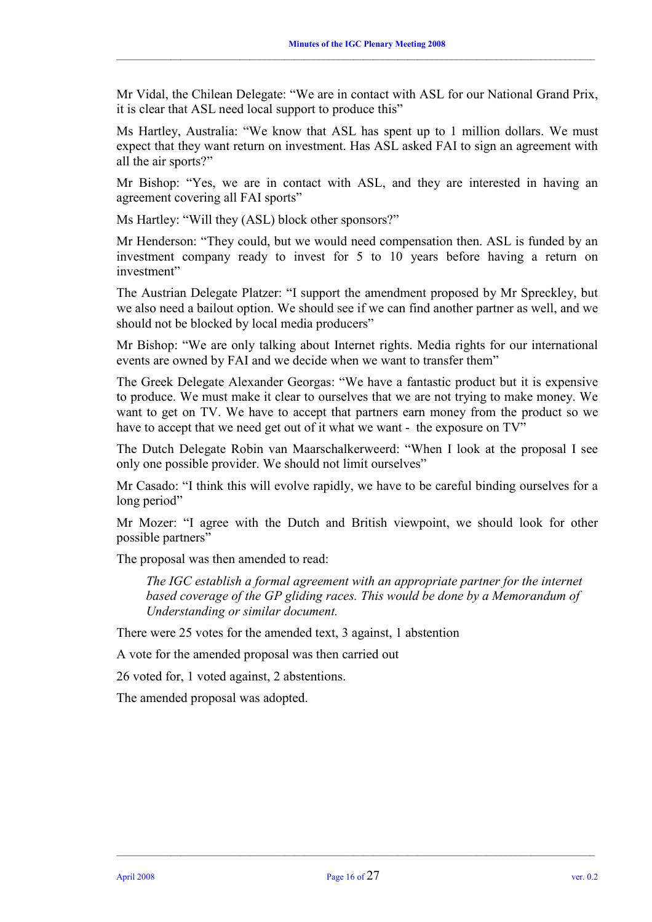Mr Vidal, the Chilean Delegate: "We are in contact with ASL for our National Grand Prix, it is clear that ASL need local support to produce this"

 $\_$  , and the state of the state of the state of the state of the state of the state of the state of the state of the state of the state of the state of the state of the state of the state of the state of the state of the

Ms Hartley, Australia: "We know that ASL has spent up to 1 million dollars. We must expect that they want return on investment. Has ASL asked FAI to sign an agreement with all the air sports?"

Mr Bishop: "Yes, we are in contact with ASL, and they are interested in having an agreement covering all FAI sports"

Ms Hartley: "Will they (ASL) block other sponsors?"

Mr Henderson: "They could, but we would need compensation then. ASL is funded by an investment company ready to invest for 5 to 10 years before having a return on investment"

The Austrian Delegate Platzer: "I support the amendment proposed by Mr Spreckley, but we also need a bailout option. We should see if we can find another partner as well, and we should not be blocked by local media producers"

Mr Bishop: "We are only talking about Internet rights. Media rights for our international events are owned by FAI and we decide when we want to transfer them"

The Greek Delegate Alexander Georgas: "We have a fantastic product but it is expensive to produce. We must make it clear to ourselves that we are not trying to make money. We want to get on TV. We have to accept that partners earn money from the product so we have to accept that we need get out of it what we want - the exposure on  $TV$ "

The Dutch Delegate Robin van Maarschalkerweerd: "When I look at the proposal I see only one possible provider. We should not limit ourselves"

Mr Casado: "I think this will evolve rapidly, we have to be careful binding ourselves for a long period"

Mr Mozer: "I agree with the Dutch and British viewpoint, we should look for other possible partners"

The proposal was then amended to read:

*The IGC establish a formal agreement with an appropriate partner for the internet based coverage of the GP gliding races. This would be done by a Memorandum of Understanding or similar document.* 

There were 25 votes for the amended text, 3 against, 1 abstention

A vote for the amended proposal was then carried out

26 voted for, 1 voted against, 2 abstentions.

The amended proposal was adopted.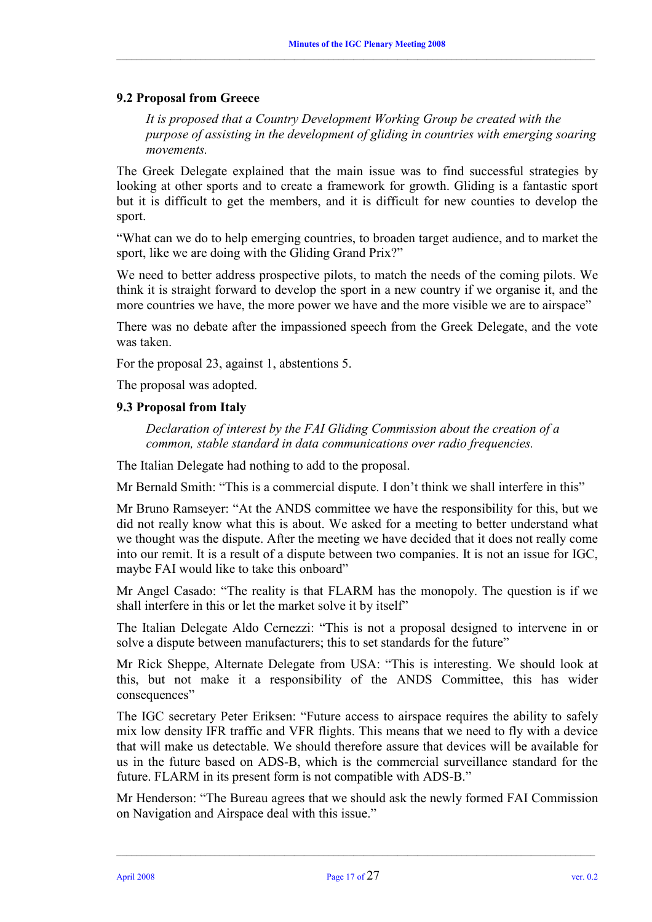#### **9.2 Proposal from Greece**

*It is proposed that a Country Development Working Group be created with the purpose of assisting in the development of gliding in countries with emerging soaring movements.* 

The Greek Delegate explained that the main issue was to find successful strategies by looking at other sports and to create a framework for growth. Gliding is a fantastic sport but it is difficult to get the members, and it is difficult for new counties to develop the sport.

"What can we do to help emerging countries, to broaden target audience, and to market the sport, like we are doing with the Gliding Grand Prix?"

We need to better address prospective pilots, to match the needs of the coming pilots. We think it is straight forward to develop the sport in a new country if we organise it, and the more countries we have, the more power we have and the more visible we are to airspace"

There was no debate after the impassioned speech from the Greek Delegate, and the vote was taken.

For the proposal 23, against 1, abstentions 5.

The proposal was adopted.

#### **9.3 Proposal from Italy**

*Declaration of interest by the FAI Gliding Commission about the creation of a common, stable standard in data communications over radio frequencies.* 

The Italian Delegate had nothing to add to the proposal.

Mr Bernald Smith: "This is a commercial dispute. I don't think we shall interfere in this"

Mr Bruno Ramseyer: "At the ANDS committee we have the responsibility for this, but we did not really know what this is about. We asked for a meeting to better understand what we thought was the dispute. After the meeting we have decided that it does not really come into our remit. It is a result of a dispute between two companies. It is not an issue for IGC, maybe FAI would like to take this onboard"

Mr Angel Casado: "The reality is that FLARM has the monopoly. The question is if we shall interfere in this or let the market solve it by itself"

The Italian Delegate Aldo Cernezzi: "This is not a proposal designed to intervene in or solve a dispute between manufacturers; this to set standards for the future"

Mr Rick Sheppe, Alternate Delegate from USA: "This is interesting. We should look at this, but not make it a responsibility of the ANDS Committee, this has wider consequences"

The IGC secretary Peter Eriksen: "Future access to airspace requires the ability to safely mix low density IFR traffic and VFR flights. This means that we need to fly with a device that will make us detectable. We should therefore assure that devices will be available for us in the future based on ADS-B, which is the commercial surveillance standard for the future. FLARM in its present form is not compatible with ADS-B."

Mr Henderson: "The Bureau agrees that we should ask the newly formed FAI Commission on Navigation and Airspace deal with this issue."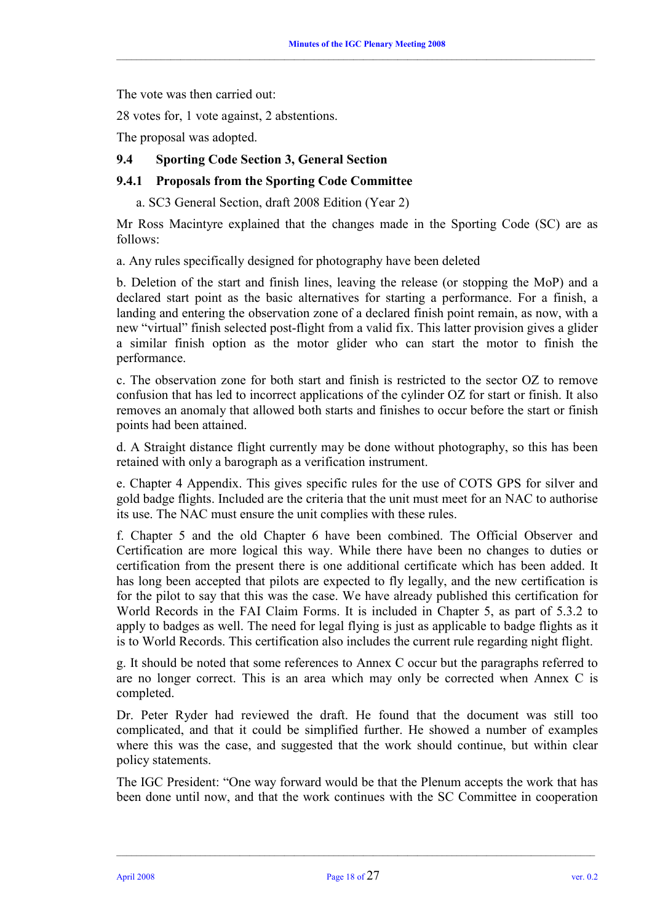The vote was then carried out:

28 votes for, 1 vote against, 2 abstentions.

The proposal was adopted.

#### **9.4 Sporting Code Section 3, General Section**

#### **9.4.1 Proposals from the Sporting Code Committee**

a. SC3 General Section, draft 2008 Edition (Year 2)

Mr Ross Macintyre explained that the changes made in the Sporting Code (SC) are as follows:

a. Any rules specifically designed for photography have been deleted

b. Deletion of the start and finish lines, leaving the release (or stopping the MoP) and a declared start point as the basic alternatives for starting a performance. For a finish, a landing and entering the observation zone of a declared finish point remain, as now, with a new "virtual" finish selected post-flight from a valid fix. This latter provision gives a glider a similar finish option as the motor glider who can start the motor to finish the performance.

c. The observation zone for both start and finish is restricted to the sector OZ to remove confusion that has led to incorrect applications of the cylinder OZ for start or finish. It also removes an anomaly that allowed both starts and finishes to occur before the start or finish points had been attained.

d. A Straight distance flight currently may be done without photography, so this has been retained with only a barograph as a verification instrument.

e. Chapter 4 Appendix. This gives specific rules for the use of COTS GPS for silver and gold badge flights. Included are the criteria that the unit must meet for an NAC to authorise its use. The NAC must ensure the unit complies with these rules.

f. Chapter 5 and the old Chapter 6 have been combined. The Official Observer and Certification are more logical this way. While there have been no changes to duties or certification from the present there is one additional certificate which has been added. It has long been accepted that pilots are expected to fly legally, and the new certification is for the pilot to say that this was the case. We have already published this certification for World Records in the FAI Claim Forms. It is included in Chapter 5, as part of 5.3.2 to apply to badges as well. The need for legal flying is just as applicable to badge flights as it is to World Records. This certification also includes the current rule regarding night flight.

g. It should be noted that some references to Annex C occur but the paragraphs referred to are no longer correct. This is an area which may only be corrected when Annex C is completed.

Dr. Peter Ryder had reviewed the draft. He found that the document was still too complicated, and that it could be simplified further. He showed a number of examples where this was the case, and suggested that the work should continue, but within clear policy statements.

The IGC President: "One way forward would be that the Plenum accepts the work that has been done until now, and that the work continues with the SC Committee in cooperation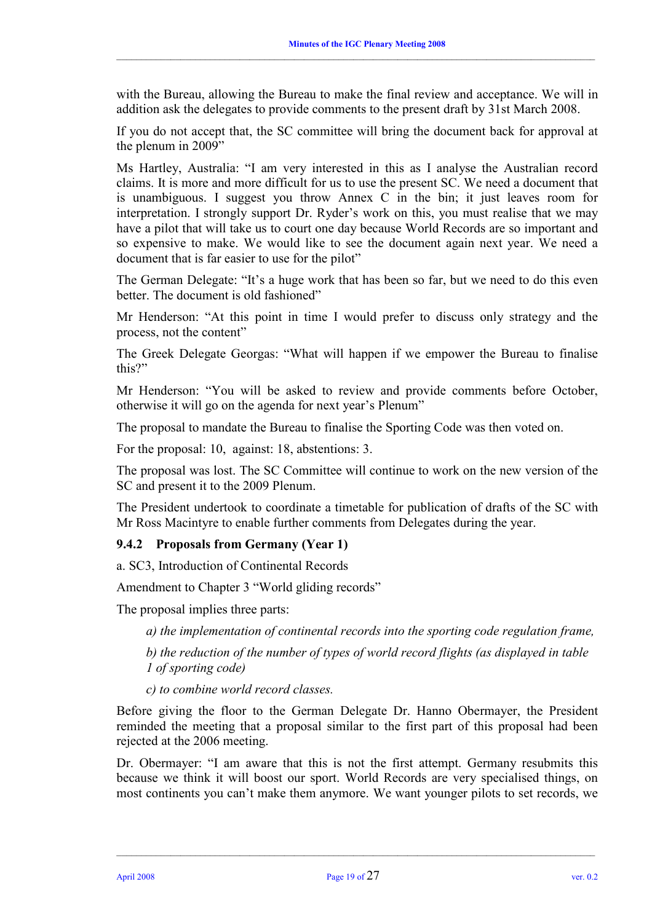with the Bureau, allowing the Bureau to make the final review and acceptance. We will in addition ask the delegates to provide comments to the present draft by 31st March 2008.

 $\_$  , and the state of the state of the state of the state of the state of the state of the state of the state of the state of the state of the state of the state of the state of the state of the state of the state of the

If you do not accept that, the SC committee will bring the document back for approval at the plenum in 2009"

Ms Hartley, Australia: "I am very interested in this as I analyse the Australian record claims. It is more and more difficult for us to use the present SC. We need a document that is unambiguous. I suggest you throw Annex C in the bin; it just leaves room for interpretation. I strongly support Dr. Ryder's work on this, you must realise that we may have a pilot that will take us to court one day because World Records are so important and so expensive to make. We would like to see the document again next year. We need a document that is far easier to use for the pilot"

The German Delegate: "It's a huge work that has been so far, but we need to do this even better. The document is old fashioned"

Mr Henderson: "At this point in time I would prefer to discuss only strategy and the process, not the content"

The Greek Delegate Georgas: "What will happen if we empower the Bureau to finalise this?"

Mr Henderson: "You will be asked to review and provide comments before October, otherwise it will go on the agenda for next year's Plenum"

The proposal to mandate the Bureau to finalise the Sporting Code was then voted on.

For the proposal: 10, against: 18, abstentions: 3.

The proposal was lost. The SC Committee will continue to work on the new version of the SC and present it to the 2009 Plenum.

The President undertook to coordinate a timetable for publication of drafts of the SC with Mr Ross Macintyre to enable further comments from Delegates during the year.

#### **9.4.2 Proposals from Germany (Year 1)**

a. SC3, Introduction of Continental Records

Amendment to Chapter 3 "World gliding records"

The proposal implies three parts:

*a) the implementation of continental records into the sporting code regulation frame,* 

*b) the reduction of the number of types of world record flights (as displayed in table 1 of sporting code)* 

*c) to combine world record classes.* 

Before giving the floor to the German Delegate Dr. Hanno Obermayer, the President reminded the meeting that a proposal similar to the first part of this proposal had been rejected at the 2006 meeting.

Dr. Obermayer: "I am aware that this is not the first attempt. Germany resubmits this because we think it will boost our sport. World Records are very specialised things, on most continents you can't make them anymore. We want younger pilots to set records, we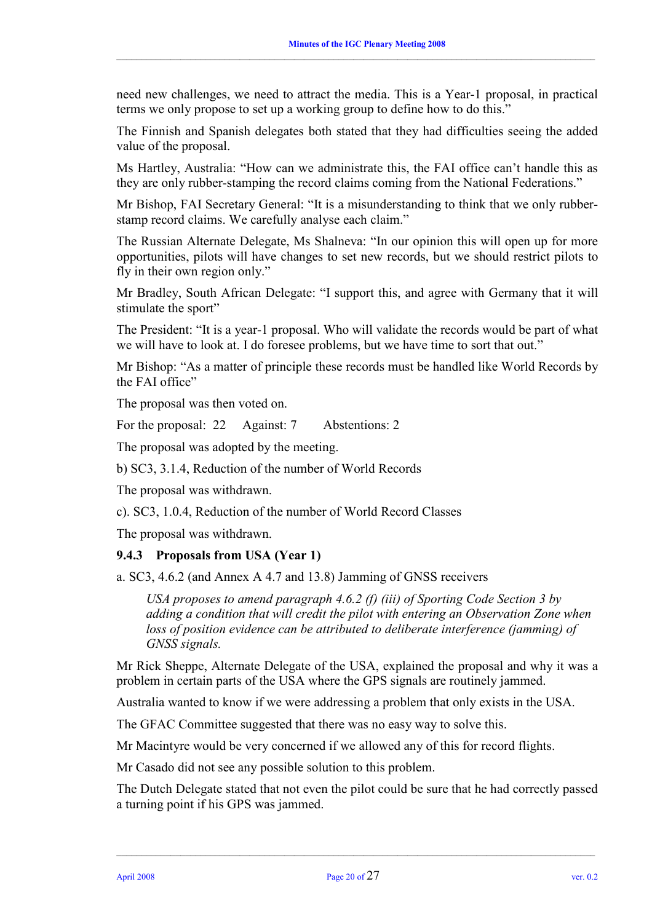need new challenges, we need to attract the media. This is a Year-1 proposal, in practical terms we only propose to set up a working group to define how to do this."

 $\_$  , and the state of the state of the state of the state of the state of the state of the state of the state of the state of the state of the state of the state of the state of the state of the state of the state of the

The Finnish and Spanish delegates both stated that they had difficulties seeing the added value of the proposal.

Ms Hartley, Australia: "How can we administrate this, the FAI office can't handle this as they are only rubber-stamping the record claims coming from the National Federations."

Mr Bishop, FAI Secretary General: "It is a misunderstanding to think that we only rubberstamp record claims. We carefully analyse each claim."

The Russian Alternate Delegate, Ms Shalneva: "In our opinion this will open up for more opportunities, pilots will have changes to set new records, but we should restrict pilots to fly in their own region only."

Mr Bradley, South African Delegate: "I support this, and agree with Germany that it will stimulate the sport"

The President: "It is a year-1 proposal. Who will validate the records would be part of what we will have to look at. I do foresee problems, but we have time to sort that out."

Mr Bishop: "As a matter of principle these records must be handled like World Records by the FAI office"

The proposal was then voted on.

For the proposal: 22 Against: 7 Abstentions: 2

The proposal was adopted by the meeting.

b) SC3, 3.1.4, Reduction of the number of World Records

The proposal was withdrawn.

c). SC3, 1.0.4, Reduction of the number of World Record Classes

The proposal was withdrawn.

#### **9.4.3 Proposals from USA (Year 1)**

a. SC3, 4.6.2 (and Annex A 4.7 and 13.8) Jamming of GNSS receivers

*USA proposes to amend paragraph 4.6.2 (f) (iii) of Sporting Code Section 3 by adding a condition that will credit the pilot with entering an Observation Zone when loss of position evidence can be attributed to deliberate interference (jamming) of GNSS signals.* 

Mr Rick Sheppe, Alternate Delegate of the USA, explained the proposal and why it was a problem in certain parts of the USA where the GPS signals are routinely jammed.

Australia wanted to know if we were addressing a problem that only exists in the USA.

The GFAC Committee suggested that there was no easy way to solve this.

Mr Macintyre would be very concerned if we allowed any of this for record flights.

Mr Casado did not see any possible solution to this problem.

The Dutch Delegate stated that not even the pilot could be sure that he had correctly passed a turning point if his GPS was jammed.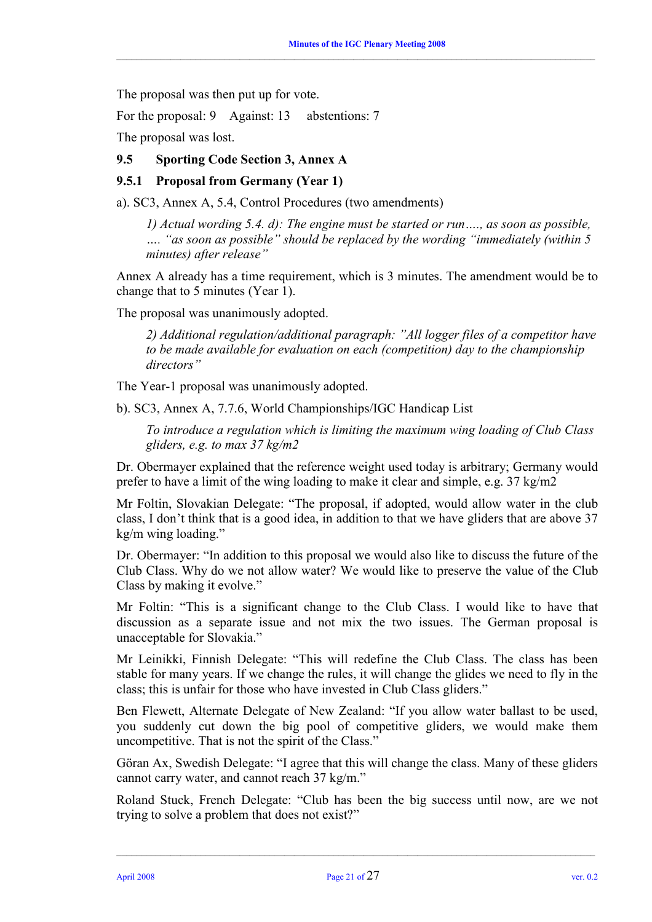The proposal was then put up for vote.

For the proposal: 9 Against: 13 abstentions: 7

The proposal was lost.

#### **9.5 Sporting Code Section 3, Annex A**

#### **9.5.1 Proposal from Germany (Year 1)**

a). SC3, Annex A, 5.4, Control Procedures (two amendments)

*1) Actual wording 5.4. d): The engine must be started or run…., as soon as possible, …. "as soon as possible" should be replaced by the wording "immediately (within 5 minutes) after release"* 

Annex A already has a time requirement, which is 3 minutes. The amendment would be to change that to 5 minutes (Year 1).

The proposal was unanimously adopted.

*2) Additional regulation/additional paragraph: "All logger files of a competitor have to be made available for evaluation on each (competition) day to the championship directors"* 

The Year-1 proposal was unanimously adopted.

b). SC3, Annex A, 7.7.6, World Championships/IGC Handicap List

*To introduce a regulation which is limiting the maximum wing loading of Club Class gliders, e.g. to max 37 kg/m2* 

Dr. Obermayer explained that the reference weight used today is arbitrary; Germany would prefer to have a limit of the wing loading to make it clear and simple, e.g. 37 kg/m2

Mr Foltin, Slovakian Delegate: "The proposal, if adopted, would allow water in the club class, I don't think that is a good idea, in addition to that we have gliders that are above 37 kg/m wing loading."

Dr. Obermayer: "In addition to this proposal we would also like to discuss the future of the Club Class. Why do we not allow water? We would like to preserve the value of the Club Class by making it evolve."

Mr Foltin: "This is a significant change to the Club Class. I would like to have that discussion as a separate issue and not mix the two issues. The German proposal is unacceptable for Slovakia."

Mr Leinikki, Finnish Delegate: "This will redefine the Club Class. The class has been stable for many years. If we change the rules, it will change the glides we need to fly in the class; this is unfair for those who have invested in Club Class gliders."

Ben Flewett, Alternate Delegate of New Zealand: "If you allow water ballast to be used, you suddenly cut down the big pool of competitive gliders, we would make them uncompetitive. That is not the spirit of the Class."

Göran Ax, Swedish Delegate: "I agree that this will change the class. Many of these gliders cannot carry water, and cannot reach 37 kg/m."

Roland Stuck, French Delegate: "Club has been the big success until now, are we not trying to solve a problem that does not exist?"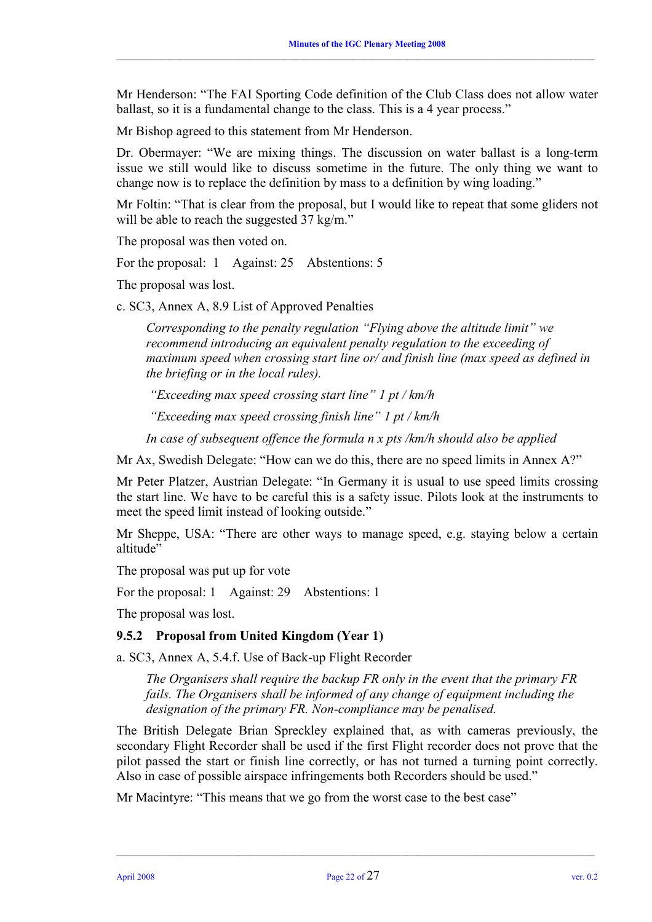Mr Henderson: "The FAI Sporting Code definition of the Club Class does not allow water ballast, so it is a fundamental change to the class. This is a 4 year process."

 $\_$  , and the state of the state of the state of the state of the state of the state of the state of the state of the state of the state of the state of the state of the state of the state of the state of the state of the

Mr Bishop agreed to this statement from Mr Henderson.

Dr. Obermayer: "We are mixing things. The discussion on water ballast is a long-term issue we still would like to discuss sometime in the future. The only thing we want to change now is to replace the definition by mass to a definition by wing loading."

Mr Foltin: "That is clear from the proposal, but I would like to repeat that some gliders not will be able to reach the suggested 37 kg/m."

The proposal was then voted on.

For the proposal: 1 Against: 25 Abstentions: 5

The proposal was lost.

c. SC3, Annex A, 8.9 List of Approved Penalties

*Corresponding to the penalty regulation "Flying above the altitude limit" we recommend introducing an equivalent penalty regulation to the exceeding of maximum speed when crossing start line or/ and finish line (max speed as defined in the briefing or in the local rules).* 

 *"Exceeding max speed crossing start line" 1 pt / km/h* 

 *"Exceeding max speed crossing finish line" 1 pt / km/h* 

*In case of subsequent offence the formula n x pts /km/h should also be applied* 

Mr Ax, Swedish Delegate: "How can we do this, there are no speed limits in Annex A?"

Mr Peter Platzer, Austrian Delegate: "In Germany it is usual to use speed limits crossing the start line. We have to be careful this is a safety issue. Pilots look at the instruments to meet the speed limit instead of looking outside."

Mr Sheppe, USA: "There are other ways to manage speed, e.g. staying below a certain altitude"

The proposal was put up for vote

For the proposal: 1 Against: 29 Abstentions: 1

The proposal was lost.

#### **9.5.2 Proposal from United Kingdom (Year 1)**

a. SC3, Annex A, 5.4.f. Use of Back-up Flight Recorder

*The Organisers shall require the backup FR only in the event that the primary FR fails. The Organisers shall be informed of any change of equipment including the designation of the primary FR. Non-compliance may be penalised.* 

The British Delegate Brian Spreckley explained that, as with cameras previously, the secondary Flight Recorder shall be used if the first Flight recorder does not prove that the pilot passed the start or finish line correctly, or has not turned a turning point correctly. Also in case of possible airspace infringements both Recorders should be used."

Mr Macintyre: "This means that we go from the worst case to the best case"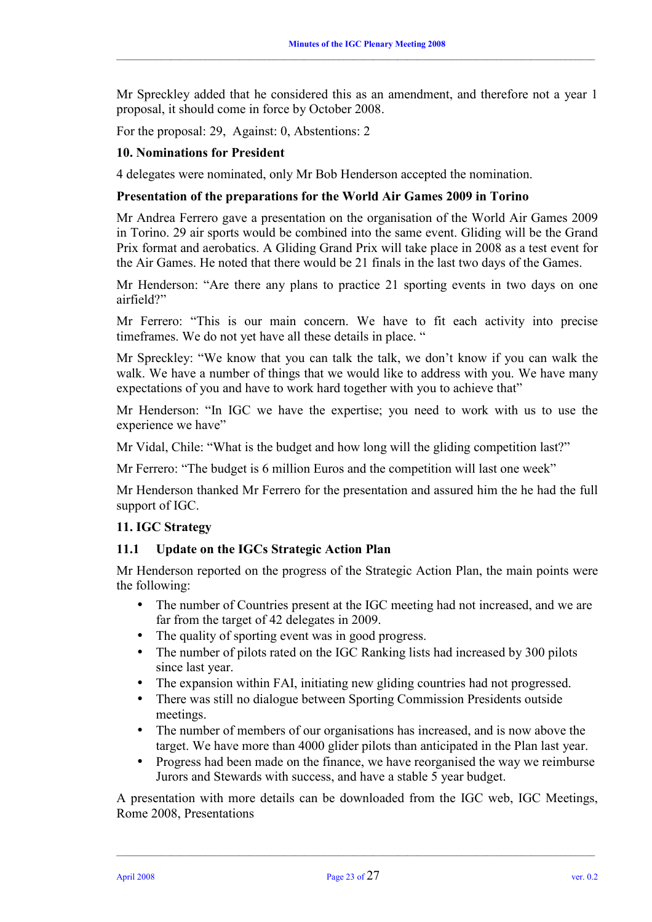Mr Spreckley added that he considered this as an amendment, and therefore not a year 1 proposal, it should come in force by October 2008.

 $\_$  , and the state of the state of the state of the state of the state of the state of the state of the state of the state of the state of the state of the state of the state of the state of the state of the state of the

For the proposal: 29, Against: 0, Abstentions: 2

#### **10. Nominations for President**

4 delegates were nominated, only Mr Bob Henderson accepted the nomination.

#### **Presentation of the preparations for the World Air Games 2009 in Torino**

Mr Andrea Ferrero gave a presentation on the organisation of the World Air Games 2009 in Torino. 29 air sports would be combined into the same event. Gliding will be the Grand Prix format and aerobatics. A Gliding Grand Prix will take place in 2008 as a test event for the Air Games. He noted that there would be 21 finals in the last two days of the Games.

Mr Henderson: "Are there any plans to practice 21 sporting events in two days on one airfield?"

Mr Ferrero: "This is our main concern. We have to fit each activity into precise timeframes. We do not yet have all these details in place. "

Mr Spreckley: "We know that you can talk the talk, we don't know if you can walk the walk. We have a number of things that we would like to address with you. We have many expectations of you and have to work hard together with you to achieve that"

Mr Henderson: "In IGC we have the expertise; you need to work with us to use the experience we have"

Mr Vidal, Chile: "What is the budget and how long will the gliding competition last?"

Mr Ferrero: "The budget is 6 million Euros and the competition will last one week"

Mr Henderson thanked Mr Ferrero for the presentation and assured him the he had the full support of IGC.

#### **11. IGC Strategy**

#### **11.1 Update on the IGCs Strategic Action Plan**

Mr Henderson reported on the progress of the Strategic Action Plan, the main points were the following:

- The number of Countries present at the IGC meeting had not increased, and we are far from the target of 42 delegates in 2009.
- The quality of sporting event was in good progress.
- The number of pilots rated on the IGC Ranking lists had increased by 300 pilots since last year.
- The expansion within FAI, initiating new gliding countries had not progressed.
- There was still no dialogue between Sporting Commission Presidents outside meetings.
- The number of members of our organisations has increased, and is now above the target. We have more than 4000 glider pilots than anticipated in the Plan last year.
- Progress had been made on the finance, we have reorganised the way we reimburse Jurors and Stewards with success, and have a stable 5 year budget.

A presentation with more details can be downloaded from the IGC web, IGC Meetings, Rome 2008, Presentations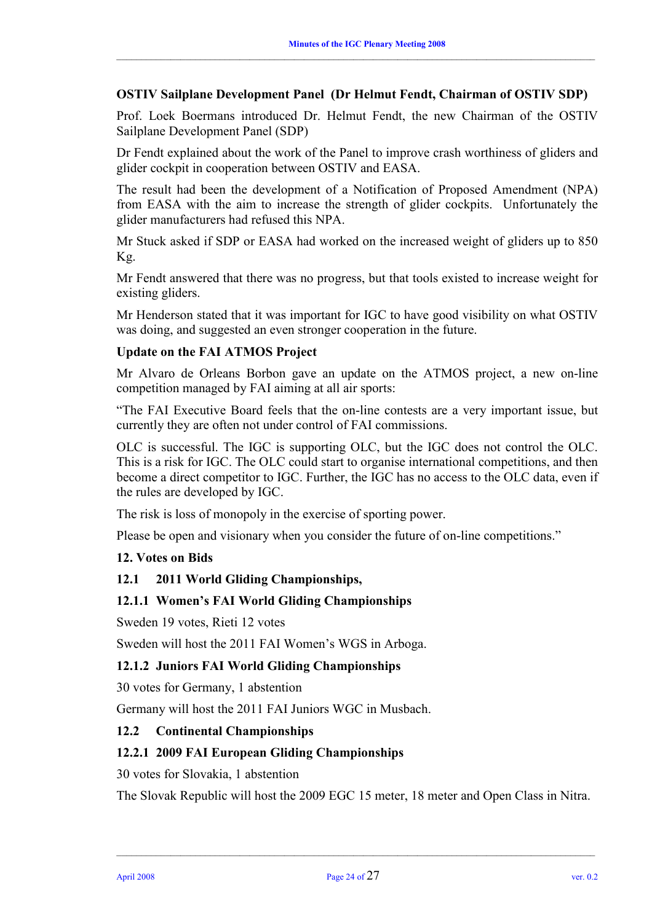### **OSTIV Sailplane Development Panel (Dr Helmut Fendt, Chairman of OSTIV SDP)**

 $\_$  , and the state of the state of the state of the state of the state of the state of the state of the state of the state of the state of the state of the state of the state of the state of the state of the state of the

Prof. Loek Boermans introduced Dr. Helmut Fendt, the new Chairman of the OSTIV Sailplane Development Panel (SDP)

Dr Fendt explained about the work of the Panel to improve crash worthiness of gliders and glider cockpit in cooperation between OSTIV and EASA.

The result had been the development of a Notification of Proposed Amendment (NPA) from EASA with the aim to increase the strength of glider cockpits. Unfortunately the glider manufacturers had refused this NPA.

Mr Stuck asked if SDP or EASA had worked on the increased weight of gliders up to 850 Kg.

Mr Fendt answered that there was no progress, but that tools existed to increase weight for existing gliders.

Mr Henderson stated that it was important for IGC to have good visibility on what OSTIV was doing, and suggested an even stronger cooperation in the future.

#### **Update on the FAI ATMOS Project**

Mr Alvaro de Orleans Borbon gave an update on the ATMOS project, a new on-line competition managed by FAI aiming at all air sports:

"The FAI Executive Board feels that the on-line contests are a very important issue, but currently they are often not under control of FAI commissions.

OLC is successful. The IGC is supporting OLC, but the IGC does not control the OLC. This is a risk for IGC. The OLC could start to organise international competitions, and then become a direct competitor to IGC. Further, the IGC has no access to the OLC data, even if the rules are developed by IGC.

The risk is loss of monopoly in the exercise of sporting power.

Please be open and visionary when you consider the future of on-line competitions."

#### **12. Votes on Bids**

#### **12.1 2011 World Gliding Championships,**

# **12.1.1 Women's FAI World Gliding Championships**

Sweden 19 votes, Rieti 12 votes

Sweden will host the 2011 FAI Women's WGS in Arboga.

#### **12.1.2 Juniors FAI World Gliding Championships**

30 votes for Germany, 1 abstention

Germany will host the 2011 FAI Juniors WGC in Musbach.

#### **12.2 Continental Championships**

#### **12.2.1 2009 FAI European Gliding Championships**

30 votes for Slovakia, 1 abstention

The Slovak Republic will host the 2009 EGC 15 meter, 18 meter and Open Class in Nitra.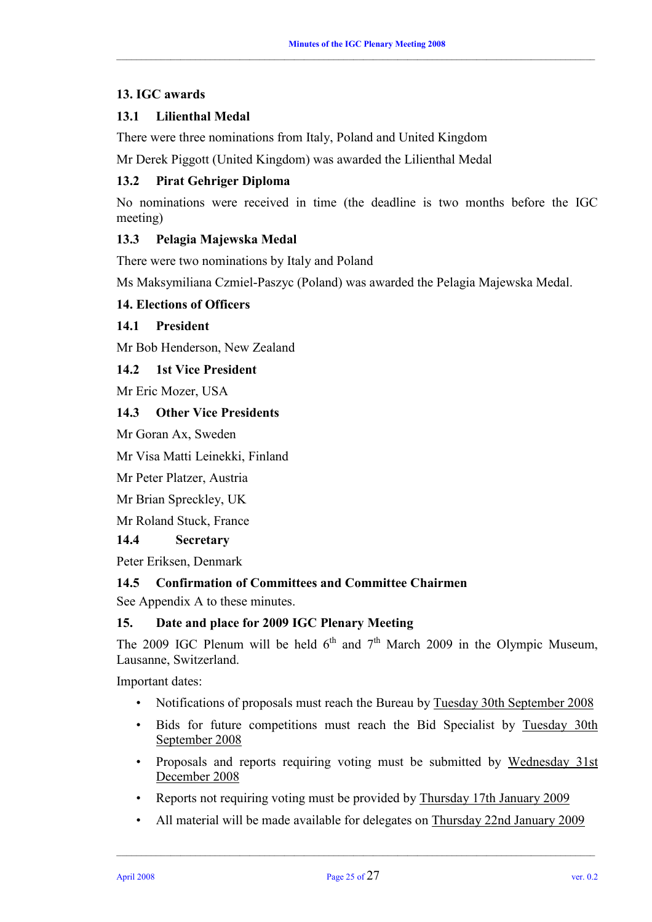# **13. IGC awards**

# **13.1 Lilienthal Medal**

There were three nominations from Italy, Poland and United Kingdom

Mr Derek Piggott (United Kingdom) was awarded the Lilienthal Medal

# **13.2 Pirat Gehriger Diploma**

No nominations were received in time (the deadline is two months before the IGC meeting)

# **13.3 Pelagia Majewska Medal**

There were two nominations by Italy and Poland

Ms Maksymiliana Czmiel-Paszyc (Poland) was awarded the Pelagia Majewska Medal.

#### **14. Elections of Officers**

#### **14.1 President**

Mr Bob Henderson, New Zealand

# **14.2 1st Vice President**

Mr Eric Mozer, USA

#### **14.3 Other Vice Presidents**

Mr Goran Ax, Sweden

Mr Visa Matti Leinekki, Finland

Mr Peter Platzer, Austria

Mr Brian Spreckley, UK

Mr Roland Stuck, France

### **14.4 Secretary**

Peter Eriksen, Denmark

# **14.5 Confirmation of Committees and Committee Chairmen**

See Appendix A to these minutes.

#### **15. Date and place for 2009 IGC Plenary Meeting**

The 2009 IGC Plenum will be held  $6<sup>th</sup>$  and  $7<sup>th</sup>$  March 2009 in the Olympic Museum, Lausanne, Switzerland.

Important dates:

- Notifications of proposals must reach the Bureau by Tuesday 30th September 2008
- Bids for future competitions must reach the Bid Specialist by Tuesday 30th September 2008
- Proposals and reports requiring voting must be submitted by Wednesday 31st December 2008
- Reports not requiring voting must be provided by Thursday 17th January 2009
- All material will be made available for delegates on Thursday 22nd January 2009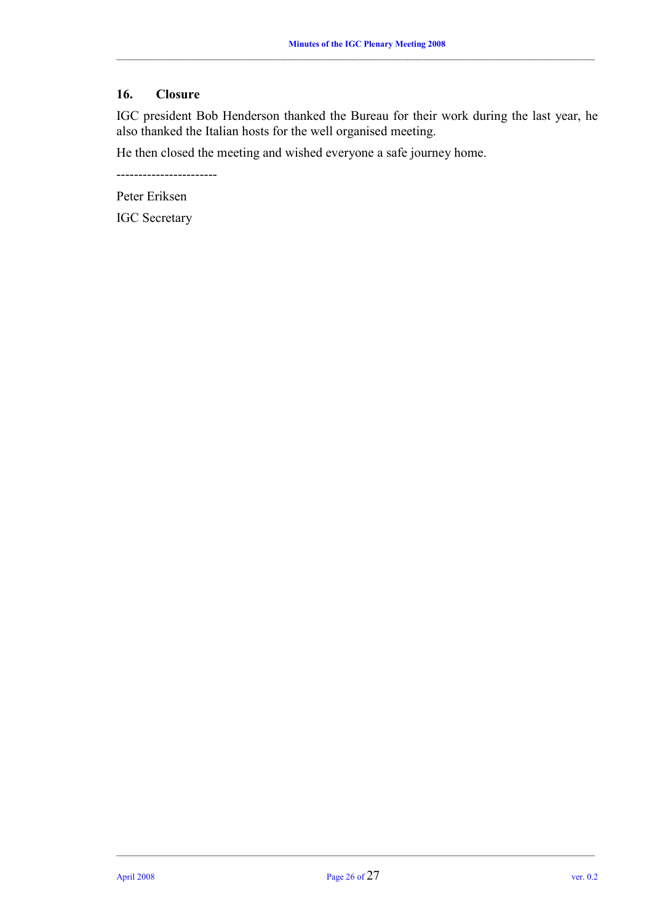# **16. Closure**

IGC president Bob Henderson thanked the Bureau for their work during the last year, he also thanked the Italian hosts for the well organised meeting.

He then closed the meeting and wished everyone a safe journey home.

-----------------------

Peter Eriksen

IGC Secretary